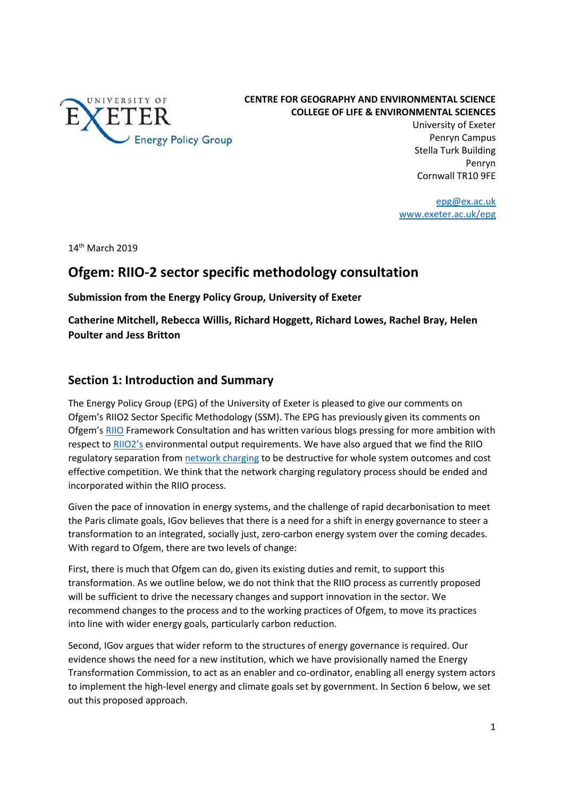

**CENTRE FOR GEOGRAPHY AND ENVIRONMENTAL SCIENCE COLLEGE OF LIFE & ENVIRONMENTAL SCIENCES**

> University of Exeter Penryn Campus Stella Turk Building Penryn Cornwall TR10 9FE

[epg@ex.ac.uk](mailto:epg@ex.ac.uk) [www.exeter.ac.uk/epg](http://geography.exeter.ac.uk/research/groups/energypolicy/)

 $14<sup>th</sup>$  March 2019

# **Ofgem: RIIO-2 sector specific methodology consultation**

**Submission from the Energy Policy Group, University of Exeter**

**Catherine Mitchell, Rebecca Willis, Richard Hoggett, Richard Lowes, Rachel Bray, Helen Poulter and Jess Britton**

# **Section 1: Introduction and Summary**

The Energy Policy Group (EPG) of the University of Exeter is pleased to give our comments on Ofgem's RIIO2 Sector Specific Methodology (SSM). The EPG has previously given its comments on Ofgem's [RIIO](http://projects.exeter.ac.uk/igov/submission-riio2-framework-consultation/) Framework Consultation and has written various blogs pressing for more ambition with respect to [RIIO2's](http://projects.exeter.ac.uk/igov/new-thinking-more-ambition-needed-for-riio2-outputs/) environmental output requirements. We have also argued that we find the RIIO regulatory separation from [network charging](http://projects.exeter.ac.uk/igov/wp-content/uploads/2019/02/Exeter-EPG-response-to-Ofgem-Targeted-Charging-Review-Feb-2019.pdf) to be destructive for whole system outcomes and cost effective competition. We think that the network charging regulatory process should be ended and incorporated within the RIIO process.

Given the pace of innovation in energy systems, and the challenge of rapid decarbonisation to meet the Paris climate goals, IGov believes that there is a need for a shift in energy governance to steer a transformation to an integrated, socially just, zero-carbon energy system over the coming decades. With regard to Ofgem, there are two levels of change:

First, there is much that Ofgem can do, given its existing duties and remit, to support this transformation. As we outline below, we do not think that the RIIO process as currently proposed will be sufficient to drive the necessary changes and support innovation in the sector. We recommend changes to the process and to the working practices of Ofgem, to move its practices into line with wider energy goals, particularly carbon reduction.

Second, IGov argues that wider reform to the structures of energy governance is required. Our evidence shows the need for a new institution, which we have provisionally named the Energy Transformation Commission, to act as an enabler and co-ordinator, enabling all energy system actors to implement the high-level energy and climate goals set by government. In Section 6 below, we set out this proposed approach.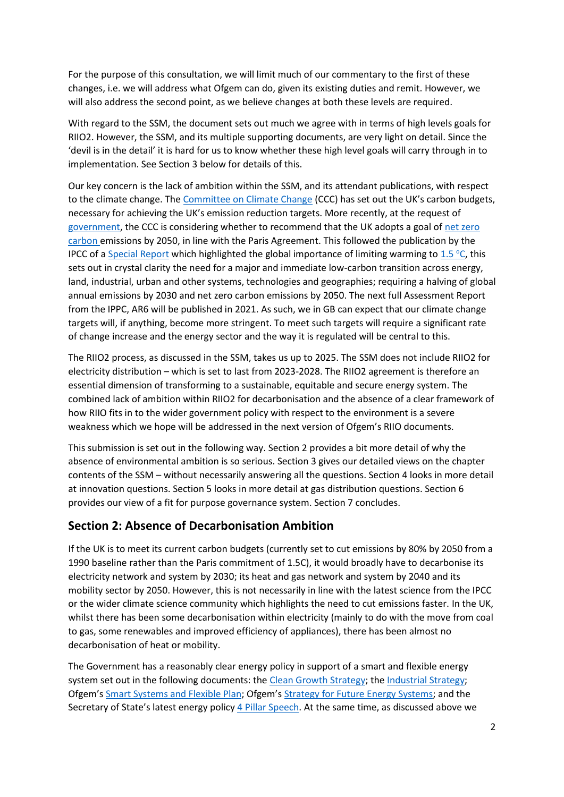For the purpose of this consultation, we will limit much of our commentary to the first of these changes, i.e. we will address what Ofgem can do, given its existing duties and remit. However, we will also address the second point, as we believe changes at both these levels are required.

With regard to the SSM, the document sets out much we agree with in terms of high levels goals for RIIO2. However, the SSM, and its multiple supporting documents, are very light on detail. Since the 'devil is in the detail' it is hard for us to know whether these high level goals will carry through in to implementation. See Section 3 below for details of this.

Our key concern is the lack of ambition within the SSM, and its attendant publications, with respect to the climate change. The [Committee on Climate Change](https://www.theccc.org.uk/tackling-climate-change/reducing-carbon-emissions/how-the-uk-is-progressing/) (CCC) has set out the UK's carbon budgets, necessary for achieving the UK's emission reduction targets. More recently, at the request of [government,](https://www.gov.uk/government/news/climate-experts-asked-for-advice-on-net-zero-target) the CCC is considering whether to recommend that the UK adopts a goal of net zero [carbon e](http://projects.exeter.ac.uk/igov/new-thinking-simplifying-energy-governance-to-help-the-uks-path-to-zero-carbon/)missions by 2050, in line with the Paris Agreement. This followed the publication by the IPCC of a [Special Report](https://report.ipcc.ch/sr15/pdf/sr15_spm_final.pdf) which highlighted the global importance of limiting warming to [1.5](https://report.ipcc.ch/sr15/pdf/sr15_spm_final.pdf) °C, this sets out in crystal clarity the need for a major and immediate low-carbon transition across energy, land, industrial, urban and other systems, technologies and geographies; requiring a halving of global annual emissions by 2030 and net zero carbon emissions by 2050. The next full Assessment Report from the IPPC, AR6 will be published in 2021. As such, we in GB can expect that our climate change targets will, if anything, become more stringent. To meet such targets will require a significant rate of change increase and the energy sector and the way it is regulated will be central to this.

The RIIO2 process, as discussed in the SSM, takes us up to 2025. The SSM does not include RIIO2 for electricity distribution – which is set to last from 2023-2028. The RIIO2 agreement is therefore an essential dimension of transforming to a sustainable, equitable and secure energy system. The combined lack of ambition within RIIO2 for decarbonisation and the absence of a clear framework of how RIIO fits in to the wider government policy with respect to the environment is a severe weakness which we hope will be addressed in the next version of Ofgem's RIIO documents.

This submission is set out in the following way. Section 2 provides a bit more detail of why the absence of environmental ambition is so serious. Section 3 gives our detailed views on the chapter contents of the SSM – without necessarily answering all the questions. Section 4 looks in more detail at innovation questions. Section 5 looks in more detail at gas distribution questions. Section 6 provides our view of a fit for purpose governance system. Section 7 concludes.

# **Section 2: Absence of Decarbonisation Ambition**

If the UK is to meet its current carbon budgets (currently set to cut emissions by 80% by 2050 from a 1990 baseline rather than the Paris commitment of 1.5C), it would broadly have to decarbonise its electricity network and system by 2030; its heat and gas network and system by 2040 and its mobility sector by 2050. However, this is not necessarily in line with the latest science from the IPCC or the wider climate science community which highlights the need to cut emissions faster. In the UK, whilst there has been some decarbonisation within electricity (mainly to do with the move from coal to gas, some renewables and improved efficiency of appliances), there has been almost no decarbonisation of heat or mobility.

The Government has a reasonably clear energy policy in support of a smart and flexible energy system set out in the following documents: th[e Clean Growth Strategy;](https://www.gov.uk/government/uploads/system/uploads/attachment_data/file/651916/BEIS_The_Clean_Growth_online_12.10.17.pdf) th[e Industrial Strategy;](https://www.gov.uk/government/uploads/system/uploads/attachment_data/file/664572/industrial-strategy-white-paper-print-ready-version.pdf) Ofgem's [Smart Systems and Flexible Plan](https://www.ofgem.gov.uk/system/files/docs/2017/07/upgrading_our_energy_system_-_smart_systems_and_flexibility_plan.pdf); Ofgem's [Strategy for Future Energy Systems;](https://www.ofgem.gov.uk/system/files/docs/2017/08/our_strategy_for_regulating_the_future_energy_system.pdf) and the Secretary of State's latest energy policy [4 Pillar Speech.](https://www.gov.uk/government/speeches/after-the-trilemma-4-principles-for-the-power-sector) At the same time, as discussed above we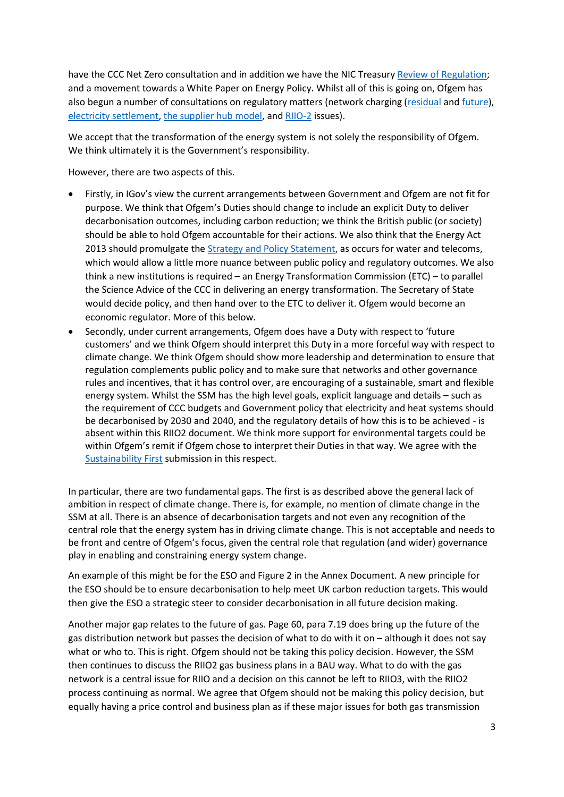have the CCC Net Zero consultation and in addition we have the NIC Treasur[y Review of Regulation;](https://www.nic.org.uk/wp-content/uploads/NIC-Regulation-Study-Call-for-Evidence.pdf) and a movement towards a White Paper on Energy Policy. Whilst all of this is going on, Ofgem has also begun a number of consultations on regulatory matters (network charging [\(residual](https://www.ofgem.gov.uk/system/files/docs/2017/11/tcr_working_paper_nov17_final.pdf) an[d future\)](https://www.ofgem.gov.uk/system/files/docs/2017/11/reform_of_electricity_network_access_and_forward-looking_charges_-_a_working_paper.pdf), [electricity settlement,](https://www.ofgem.gov.uk/system/files/docs/2017/07/electricity_settlement_reform_significant_code_review_launch_statement.pdf) [the supplier hub model,](https://www.ofgem.gov.uk/publications-and-updates/ofgem-seeks-views-reforms-supplier-hub-market-arrangements) and [RIIO-2](http://projects.exeter.ac.uk/igov/comments-on-the-open-letter-on-the-riio-2-framework/) issues).

We accept that the transformation of the energy system is not solely the responsibility of Ofgem. We think ultimately it is the Government's responsibility.

However, there are two aspects of this.

- Firstly, in IGov's view the current arrangements between Government and Ofgem are not fit for purpose. We think that Ofgem's Duties should change to include an explicit Duty to deliver decarbonisation outcomes, including carbon reduction; we think the British public (or society) should be able to hold Ofgem accountable for their actions. We also think that the Energy Act 2013 should promulgate the [Strategy and Policy Statement,](http://projects.exeter.ac.uk/igov/new-thinking-the-lost-strategy-and-policy-statement/) as occurs for water and telecoms, which would allow a little more nuance between public policy and regulatory outcomes. We also think a new institutions is required – an Energy Transformation Commission (ETC) – to parallel the Science Advice of the CCC in delivering an energy transformation. The Secretary of State would decide policy, and then hand over to the ETC to deliver it. Ofgem would become an economic regulator. More of this below.
- Secondly, under current arrangements, Ofgem does have a Duty with respect to 'future customers' and we think Ofgem should interpret this Duty in a more forceful way with respect to climate change. We think Ofgem should show more leadership and determination to ensure that regulation complements public policy and to make sure that networks and other governance rules and incentives, that it has control over, are encouraging of a sustainable, smart and flexible energy system. Whilst the SSM has the high level goals, explicit language and details – such as the requirement of CCC budgets and Government policy that electricity and heat systems should be decarbonised by 2030 and 2040, and the regulatory details of how this is to be achieved - is absent within this RIIO2 document. We think more support for environmental targets could be within Ofgem's remit if Ofgem chose to interpret their Duties in that way. We agree with the [Sustainability First](https://www.sustainabilityfirst.org.uk/images/publications/consultations/Sustainability_First_-_Ofgem_RIIO2_Methodology_-_Environment_Sustainability_and_Low_Carbon_-_final_v_260219_.pdf) submission in this respect.

In particular, there are two fundamental gaps. The first is as described above the general lack of ambition in respect of climate change. There is, for example, no mention of climate change in the SSM at all. There is an absence of decarbonisation targets and not even any recognition of the central role that the energy system has in driving climate change. This is not acceptable and needs to be front and centre of Ofgem's focus, given the central role that regulation (and wider) governance play in enabling and constraining energy system change.

An example of this might be for the ESO and Figure 2 in the Annex Document. A new principle for the ESO should be to ensure decarbonisation to help meet UK carbon reduction targets. This would then give the ESO a strategic steer to consider decarbonisation in all future decision making.

Another major gap relates to the future of gas. Page 60, para 7.19 does bring up the future of the gas distribution network but passes the decision of what to do with it on – although it does not say what or who to. This is right. Ofgem should not be taking this policy decision. However, the SSM then continues to discuss the RIIO2 gas business plans in a BAU way. What to do with the gas network is a central issue for RIIO and a decision on this cannot be left to RIIO3, with the RIIO2 process continuing as normal. We agree that Ofgem should not be making this policy decision, but equally having a price control and business plan as if these major issues for both gas transmission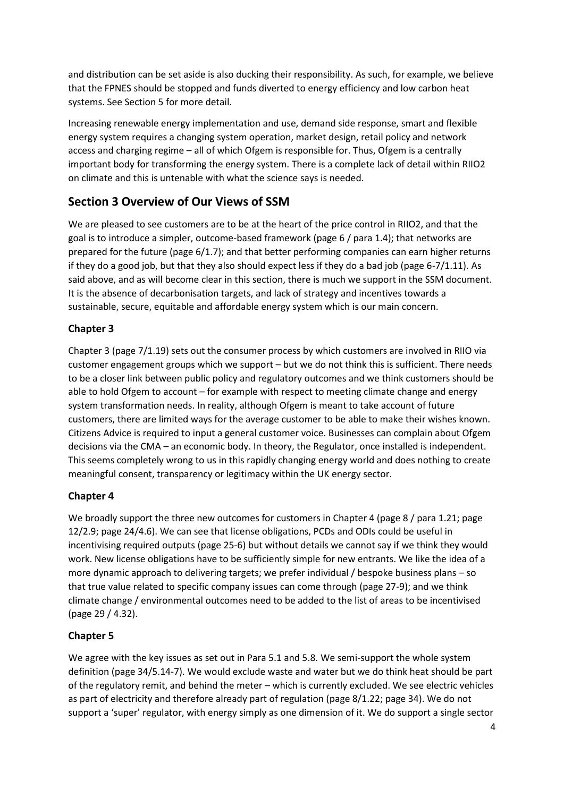and distribution can be set aside is also ducking their responsibility. As such, for example, we believe that the FPNES should be stopped and funds diverted to energy efficiency and low carbon heat systems. See Section 5 for more detail.

Increasing renewable energy implementation and use, demand side response, smart and flexible energy system requires a changing system operation, market design, retail policy and network access and charging regime – all of which Ofgem is responsible for. Thus, Ofgem is a centrally important body for transforming the energy system. There is a complete lack of detail within RIIO2 on climate and this is untenable with what the science says is needed.

# **Section 3 Overview of Our Views of SSM**

We are pleased to see customers are to be at the heart of the price control in RIIO2, and that the goal is to introduce a simpler, outcome-based framework (page 6 / para 1.4); that networks are prepared for the future (page 6/1.7); and that better performing companies can earn higher returns if they do a good job, but that they also should expect less if they do a bad job (page  $6-7/1.11$ ). As said above, and as will become clear in this section, there is much we support in the SSM document. It is the absence of decarbonisation targets, and lack of strategy and incentives towards a sustainable, secure, equitable and affordable energy system which is our main concern.

# **Chapter 3**

Chapter 3 (page 7/1.19) sets out the consumer process by which customers are involved in RIIO via customer engagement groups which we support – but we do not think this is sufficient. There needs to be a closer link between public policy and regulatory outcomes and we think customers should be able to hold Ofgem to account - for example with respect to meeting climate change and energy system transformation needs. In reality, although Ofgem is meant to take account of future customers, there are limited ways for the average customer to be able to make their wishes known. Citizens Advice is required to input a general customer voice. Businesses can complain about Ofgem decisions via the CMA – an economic body. In theory, the Regulator, once installed is independent. This seems completely wrong to us in this rapidly changing energy world and does nothing to create meaningful consent, transparency or legitimacy within the UK energy sector.

# **Chapter 4**

We broadly support the three new outcomes for customers in Chapter 4 (page 8 / para 1.21; page 12/2.9; page 24/4.6). We can see that license obligations, PCDs and ODIs could be useful in incentivising required outputs (page 25-6) but without details we cannot say if we think they would work. New license obligations have to be sufficiently simple for new entrants. We like the idea of a more dynamic approach to delivering targets; we prefer individual / bespoke business plans – so that true value related to specific company issues can come through (page 27-9); and we think climate change / environmental outcomes need to be added to the list of areas to be incentivised (page 29 / 4.32).

# **Chapter 5**

We agree with the key issues as set out in Para 5.1 and 5.8. We semi-support the whole system definition (page 34/5.14-7). We would exclude waste and water but we do think heat should be part of the regulatory remit, and behind the meter – which is currently excluded. We see electric vehicles as part of electricity and therefore already part of regulation (page 8/1.22; page 34). We do not support a 'super' regulator, with energy simply as one dimension of it. We do support a single sector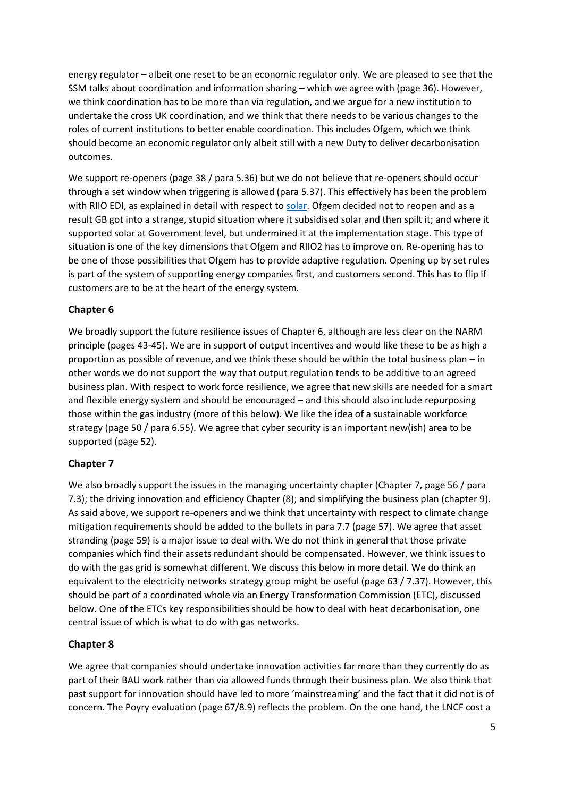energy regulator – albeit one reset to be an economic regulator only. We are pleased to see that the SSM talks about coordination and information sharing – which we agree with (page 36). However, we think coordination has to be more than via regulation, and we argue for a new institution to undertake the cross UK coordination, and we think that there needs to be various changes to the roles of current institutions to better enable coordination. This includes Ofgem, which we think should become an economic regulator only albeit still with a new Duty to deliver decarbonisation outcomes.

We support re-openers (page 38 / para 5.36) but we do not believe that re-openers should occur through a set window when triggering is allowed (para 5.37). This effectively has been the problem with RIIO EDI, as explained in detail with respect to [solar.](http://projects.exeter.ac.uk/igov/new-thinking-solar-surprise-revisited/) Ofgem decided not to reopen and as a result GB got into a strange, stupid situation where it subsidised solar and then spilt it; and where it supported solar at Government level, but undermined it at the implementation stage. This type of situation is one of the key dimensions that Ofgem and RIIO2 has to improve on. Re-opening has to be one of those possibilities that Ofgem has to provide adaptive regulation. Opening up by set rules is part of the system of supporting energy companies first, and customers second. This has to flip if customers are to be at the heart of the energy system.

# **Chapter 6**

We broadly support the future resilience issues of Chapter 6, although are less clear on the NARM principle (pages 43-45). We are in support of output incentives and would like these to be as high a proportion as possible of revenue, and we think these should be within the total business plan – in other words we do not support the way that output regulation tends to be additive to an agreed business plan. With respect to work force resilience, we agree that new skills are needed for a smart and flexible energy system and should be encouraged – and this should also include repurposing those within the gas industry (more of this below). We like the idea of a sustainable workforce strategy (page 50 / para 6.55). We agree that cyber security is an important new(ish) area to be supported (page 52).

# **Chapter 7**

We also broadly support the issues in the managing uncertainty chapter (Chapter 7, page 56 / para 7.3); the driving innovation and efficiency Chapter (8); and simplifying the business plan (chapter 9). As said above, we support re-openers and we think that uncertainty with respect to climate change mitigation requirements should be added to the bullets in para 7.7 (page 57). We agree that asset stranding (page 59) is a major issue to deal with. We do not think in general that those private companies which find their assets redundant should be compensated. However, we think issues to do with the gas grid is somewhat different. We discuss this below in more detail. We do think an equivalent to the electricity networks strategy group might be useful (page 63 / 7.37). However, this should be part of a coordinated whole via an Energy Transformation Commission (ETC), discussed below. One of the ETCs key responsibilities should be how to deal with heat decarbonisation, one central issue of which is what to do with gas networks.

# **Chapter 8**

We agree that companies should undertake innovation activities far more than they currently do as part of their BAU work rather than via allowed funds through their business plan. We also think that past support for innovation should have led to more 'mainstreaming' and the fact that it did not is of concern. The Poyry evaluation (page 67/8.9) reflects the problem. On the one hand, the LNCF cost a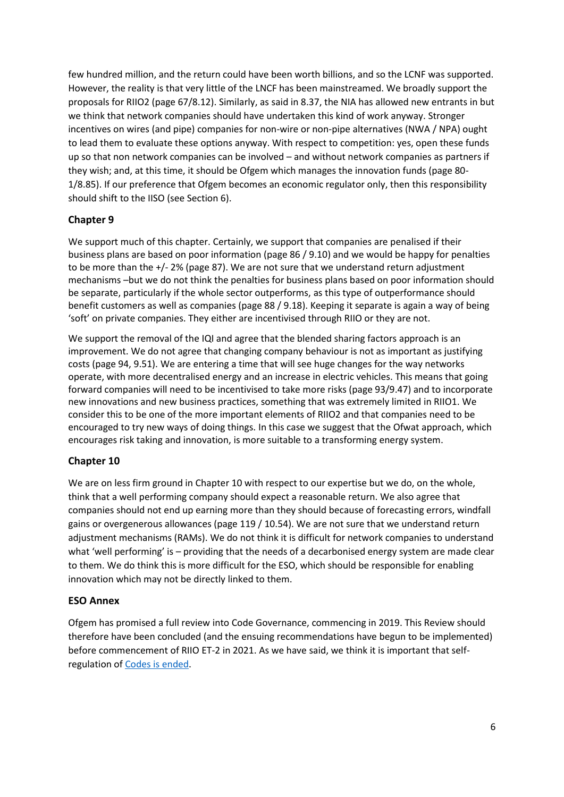few hundred million, and the return could have been worth billions, and so the LCNF was supported. However, the reality is that very little of the LNCF has been mainstreamed. We broadly support the proposals for RIIO2 (page 67/8.12). Similarly, as said in 8.37, the NIA has allowed new entrants in but we think that network companies should have undertaken this kind of work anyway. Stronger incentives on wires (and pipe) companies for non-wire or non-pipe alternatives (NWA / NPA) ought to lead them to evaluate these options anyway. With respect to competition: yes, open these funds up so that non network companies can be involved – and without network companies as partners if they wish; and, at this time, it should be Ofgem which manages the innovation funds (page 80- 1/8.85). If our preference that Ofgem becomes an economic regulator only, then this responsibility should shift to the IISO (see Section 6).

#### **Chapter 9**

We support much of this chapter. Certainly, we support that companies are penalised if their business plans are based on poor information (page 86 / 9.10) and we would be happy for penalties to be more than the +/- 2% (page 87). We are not sure that we understand return adjustment mechanisms –but we do not think the penalties for business plans based on poor information should be separate, particularly if the whole sector outperforms, as this type of outperformance should benefit customers as well as companies (page 88 / 9.18). Keeping it separate is again a way of being 'soft' on private companies. They either are incentivised through RIIO or they are not.

We support the removal of the IQI and agree that the blended sharing factors approach is an improvement. We do not agree that changing company behaviour is not as important as justifying costs (page 94, 9.51). We are entering a time that will see huge changes for the way networks operate, with more decentralised energy and an increase in electric vehicles. This means that going forward companies will need to be incentivised to take more risks (page 93/9.47) and to incorporate new innovations and new business practices, something that was extremely limited in RIIO1. We consider this to be one of the more important elements of RIIO2 and that companies need to be encouraged to try new ways of doing things. In this case we suggest that the Ofwat approach, which encourages risk taking and innovation, is more suitable to a transforming energy system.

# **Chapter 10**

We are on less firm ground in Chapter 10 with respect to our expertise but we do, on the whole, think that a well performing company should expect a reasonable return. We also agree that companies should not end up earning more than they should because of forecasting errors, windfall gains or overgenerous allowances (page 119 / 10.54). We are not sure that we understand return adjustment mechanisms (RAMs). We do not think it is difficult for network companies to understand what 'well performing' is – providing that the needs of a decarbonised energy system are made clear to them. We do think this is more difficult for the ESO, which should be responsible for enabling innovation which may not be directly linked to them.

#### **ESO Annex**

Ofgem has promised a full review into Code Governance, commencing in 2019. This Review should therefore have been concluded (and the ensuing recommendations have begun to be implemented) before commencement of RIIO ET-2 in 2021. As we have said, we think it is important that selfregulation of [Codes is ended.](http://projects.exeter.ac.uk/igov/presentation-energy-code-review-workshop/)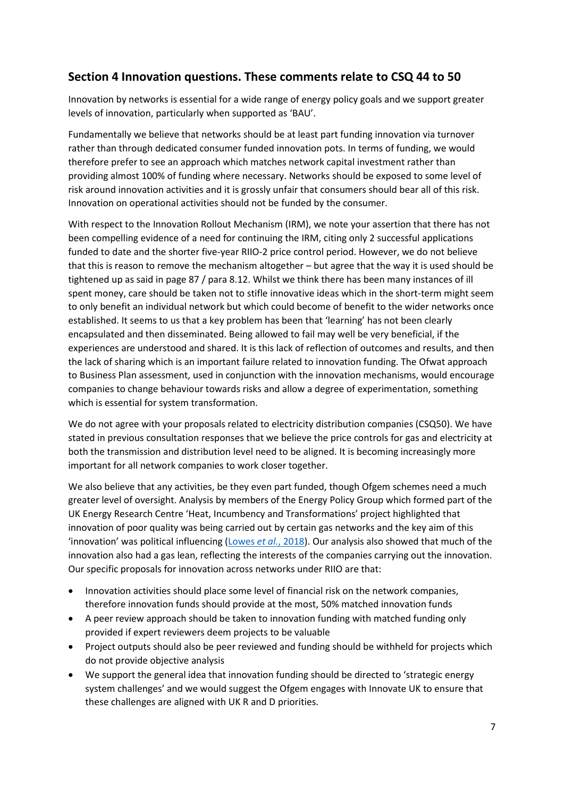# **Section 4 Innovation questions. These comments relate to CSQ 44 to 50**

Innovation by networks is essential for a wide range of energy policy goals and we support greater levels of innovation, particularly when supported as 'BAU'.

Fundamentally we believe that networks should be at least part funding innovation via turnover rather than through dedicated consumer funded innovation pots. In terms of funding, we would therefore prefer to see an approach which matches network capital investment rather than providing almost 100% of funding where necessary. Networks should be exposed to some level of risk around innovation activities and it is grossly unfair that consumers should bear all of this risk. Innovation on operational activities should not be funded by the consumer.

With respect to the Innovation Rollout Mechanism (IRM), we note your assertion that there has not been compelling evidence of a need for continuing the IRM, citing only 2 successful applications funded to date and the shorter five-year RIIO-2 price control period. However, we do not believe that this is reason to remove the mechanism altogether – but agree that the way it is used should be tightened up as said in page 87 / para 8.12. Whilst we think there has been many instances of ill spent money, care should be taken not to stifle innovative ideas which in the short-term might seem to only benefit an individual network but which could become of benefit to the wider networks once established. It seems to us that a key problem has been that 'learning' has not been clearly encapsulated and then disseminated. Being allowed to fail may well be very beneficial, if the experiences are understood and shared. It is this lack of reflection of outcomes and results, and then the lack of sharing which is an important failure related to innovation funding. The Ofwat approach to Business Plan assessment, used in conjunction with the innovation mechanisms, would encourage companies to change behaviour towards risks and allow a degree of experimentation, something which is essential for system transformation.

We do not agree with your proposals related to electricity distribution companies (CSQ50). We have stated in previous consultation responses that we believe the price controls for gas and electricity at both the transmission and distribution level need to be aligned. It is becoming increasingly more important for all network companies to work closer together.

We also believe that any activities, be they even part funded, though Ofgem schemes need a much greater level of oversight. Analysis by members of the Energy Policy Group which formed part of the UK Energy Research Centre 'Heat, Incumbency and Transformations' project highlighted that innovation of poor quality was being carried out by certain gas networks and the key aim of this 'innovation' was political influencing [\(Lowes](http://www.ukerc.ac.uk/publications/incumbency-in-the-uk-heat-sector.html) *et al.*, 2018). Our analysis also showed that much of the innovation also had a gas lean, reflecting the interests of the companies carrying out the innovation. Our specific proposals for innovation across networks under RIIO are that:

- Innovation activities should place some level of financial risk on the network companies, therefore innovation funds should provide at the most, 50% matched innovation funds
- A peer review approach should be taken to innovation funding with matched funding only provided if expert reviewers deem projects to be valuable
- Project outputs should also be peer reviewed and funding should be withheld for projects which do not provide objective analysis
- We support the general idea that innovation funding should be directed to 'strategic energy system challenges' and we would suggest the Ofgem engages with Innovate UK to ensure that these challenges are aligned with UK R and D priorities.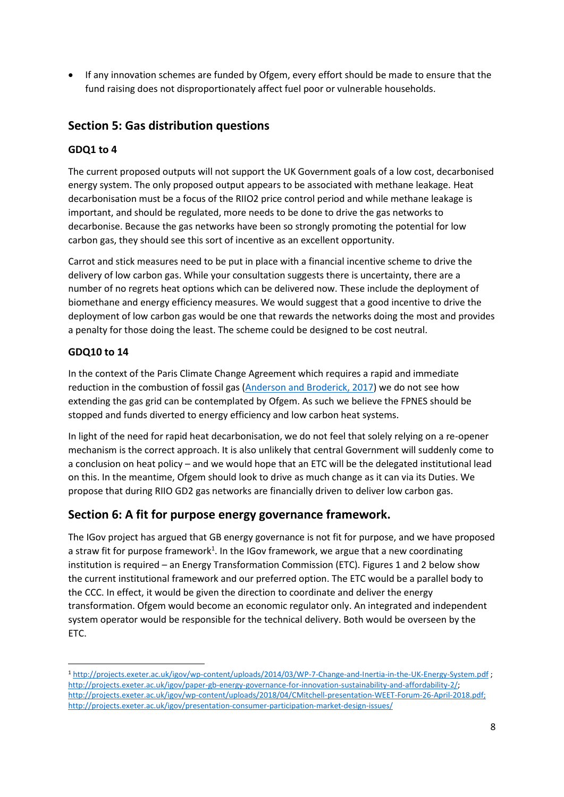If any innovation schemes are funded by Ofgem, every effort should be made to ensure that the fund raising does not disproportionately affect fuel poor or vulnerable households.

# **Section 5: Gas distribution questions**

#### **GDQ1 to 4**

The current proposed outputs will not support the UK Government goals of a low cost, decarbonised energy system. The only proposed output appears to be associated with methane leakage. Heat decarbonisation must be a focus of the RIIO2 price control period and while methane leakage is important, and should be regulated, more needs to be done to drive the gas networks to decarbonise. Because the gas networks have been so strongly promoting the potential for low carbon gas, they should see this sort of incentive as an excellent opportunity.

Carrot and stick measures need to be put in place with a financial incentive scheme to drive the delivery of low carbon gas. While your consultation suggests there is uncertainty, there are a number of no regrets heat options which can be delivered now. These include the deployment of biomethane and energy efficiency measures. We would suggest that a good incentive to drive the deployment of low carbon gas would be one that rewards the networks doing the most and provides a penalty for those doing the least. The scheme could be designed to be cost neutral.

#### **GDQ10 to 14**

**.** 

In the context of the Paris Climate Change Agreement which requires a rapid and immediate reduction in the combustion of fossil gas [\(Anderson and Broderick, 2017\)](http://www.foeeurope.org/sites/default/files/extractive_industries/2017/natural_gas_and_climate_change_anderson_broderick_october2017.pdf) we do not see how extending the gas grid can be contemplated by Ofgem. As such we believe the FPNES should be stopped and funds diverted to energy efficiency and low carbon heat systems.

In light of the need for rapid heat decarbonisation, we do not feel that solely relying on a re-opener mechanism is the correct approach. It is also unlikely that central Government will suddenly come to a conclusion on heat policy – and we would hope that an ETC will be the delegated institutional lead on this. In the meantime, Ofgem should look to drive as much change as it can via its Duties. We propose that during RIIO GD2 gas networks are financially driven to deliver low carbon gas.

# **Section 6: A fit for purpose energy governance framework.**

The IGov project has argued that GB energy governance is not fit for purpose, and we have proposed a straw fit for purpose framework<sup>1</sup>. In the IGov framework, we argue that a new coordinating institution is required – an Energy Transformation Commission (ETC). Figures 1 and 2 below show the current institutional framework and our preferred option. The ETC would be a parallel body to the CCC. In effect, it would be given the direction to coordinate and deliver the energy transformation. Ofgem would become an economic regulator only. An integrated and independent system operator would be responsible for the technical delivery. Both would be overseen by the ETC.

<sup>1</sup> <http://projects.exeter.ac.uk/igov/wp-content/uploads/2014/03/WP-7-Change-and-Inertia-in-the-UK-Energy-System.pdf> ; [http://projects.exeter.ac.uk/igov/paper-gb-energy-governance-for-innovation-sustainability-and-affordability-2/;](http://projects.exeter.ac.uk/igov/paper-gb-energy-governance-for-innovation-sustainability-and-affordability-2/)  [http://projects.exeter.ac.uk/igov/wp-content/uploads/2018/04/CMitchell-presentation-WEET-Forum-26-April-2018.pdf;](http://projects.exeter.ac.uk/igov/wp-content/uploads/2018/04/CMitchell-presentation-WEET-Forum-26-April-2018.pdf) http://projects.exeter.ac.uk/igov/presentation-consumer-participation-market-design-issues/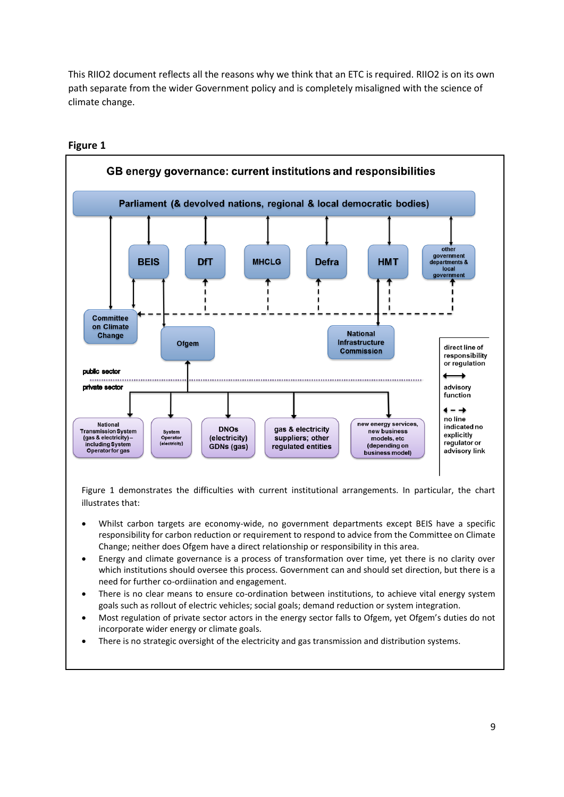This RIIO2 document reflects all the reasons why we think that an ETC is required. RIIO2 is on its own path separate from the wider Government policy and is completely misaligned with the science of climate change.



#### **Figure 1**

Figure 1 demonstrates the difficulties with current institutional arrangements. In particular, the chart illustrates that:

- Whilst carbon targets are economy-wide, no government departments except BEIS have a specific responsibility for carbon reduction or requirement to respond to advice from the Committee on Climate Change; neither does Ofgem have a direct relationship or responsibility in this area.
- Energy and climate governance is a process of transformation over time, yet there is no clarity over which institutions should oversee this process. Government can and should set direction, but there is a need for further co-ordiination and engagement.
- There is no clear means to ensure co-ordination between institutions, to achieve vital energy system goals such as rollout of electric vehicles; social goals; demand reduction or system integration.
- Most regulation of private sector actors in the energy sector falls to Ofgem, yet Ofgem's duties do not incorporate wider energy or climate goals.
- There is no strategic oversight of the electricity and gas transmission and distribution systems.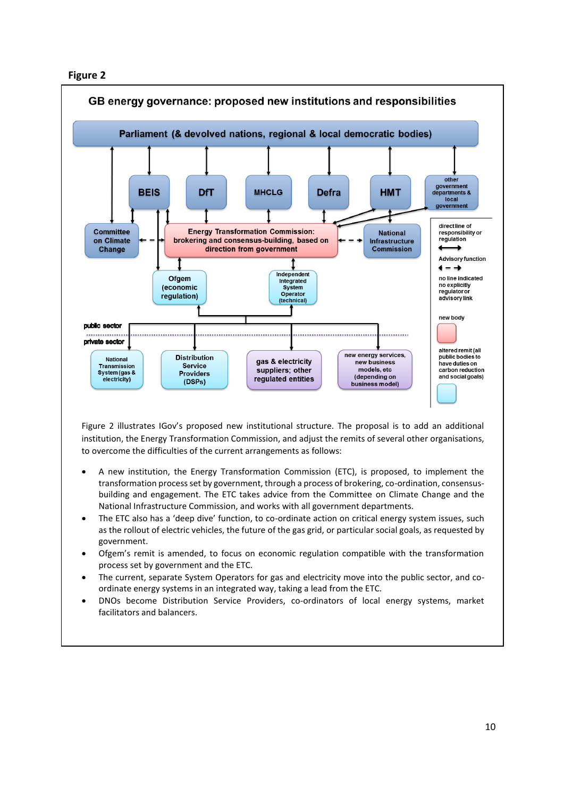



Figure 2 illustrates IGov's proposed new institutional structure. The proposal is to add an additional institution, the Energy Transformation Commission, and adjust the remits of several other organisations, to overcome the difficulties of the current arrangements as follows:

- A new institution, the Energy Transformation Commission (ETC), is proposed, to implement the transformation process set by government, through a process of brokering, co-ordination, consensusbuilding and engagement. The ETC takes advice from the Committee on Climate Change and the National Infrastructure Commission, and works with all government departments.
- The ETC also has a 'deep dive' function, to co-ordinate action on critical energy system issues, such as the rollout of electric vehicles, the future of the gas grid, or particular social goals, as requested by government.
- Ofgem's remit is amended, to focus on economic regulation compatible with the transformation process set by government and the ETC.
- The current, separate System Operators for gas and electricity move into the public sector, and coordinate energy systems in an integrated way, taking a lead from the ETC.
- DNOs become Distribution Service Providers, co-ordinators of local energy systems, market facilitators and balancers.